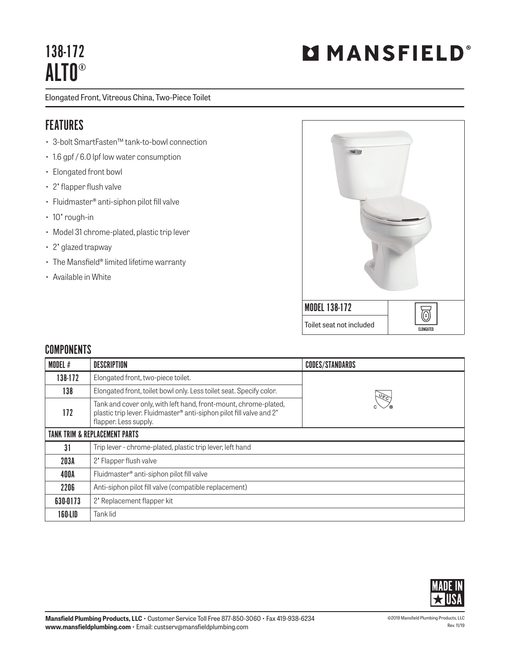## 138-172 ALTO®

Elongated Front, Vitreous China, Two-Piece Toilet

## FEATURES

- 3-bolt SmartFasten™ tank-to-bowl connection
- 1.6 gpf / 6.0 lpf low water consumption
- Elongated front bowl
- 2" flapper flush valve
- Fluidmaster® anti-siphon pilot fill valve
- 10" rough-in
- Model 31 chrome-plated, plastic trip lever
- 2" glazed trapway
- The Mansfield® limited lifetime warranty
- Available in White



## **COMPONENTS**

| MODEL #                                  | <b>DESCRIPTION</b>                                                                                                                                                | <b>CODES/STANDARDS</b>                                                                                  |  |
|------------------------------------------|-------------------------------------------------------------------------------------------------------------------------------------------------------------------|---------------------------------------------------------------------------------------------------------|--|
| 138-172                                  | Elongated front, two-piece toilet.                                                                                                                                |                                                                                                         |  |
| 138                                      | Elongated front, toilet bowl only. Less toilet seat. Specify color.                                                                                               | $\overline{\mathsf{U}}$ <sub><math>\overline{\mathsf{P}}</math><math>\overline{\mathsf{C}}</math></sub> |  |
| 172                                      | Tank and cover only, with left hand, front-mount, chrome-plated,<br>plastic trip lever. Fluidmaster® anti-siphon pilot fill valve and 2'<br>flapper. Less supply. |                                                                                                         |  |
| <b>TANK TRIM &amp; REPLACEMENT PARTS</b> |                                                                                                                                                                   |                                                                                                         |  |
| 31                                       | Trip lever - chrome-plated, plastic trip lever, left hand                                                                                                         |                                                                                                         |  |
| 203A                                     | 2' Flapper flush valve                                                                                                                                            |                                                                                                         |  |
| 400A                                     | Fluidmaster <sup>®</sup> anti-siphon pilot fill valve                                                                                                             |                                                                                                         |  |
| 2206                                     | Anti-siphon pilot fill valve (compatible replacement)                                                                                                             |                                                                                                         |  |
| 630-0173                                 | 2' Replacement flapper kit                                                                                                                                        |                                                                                                         |  |
| 160-LID                                  | Tank lid                                                                                                                                                          |                                                                                                         |  |